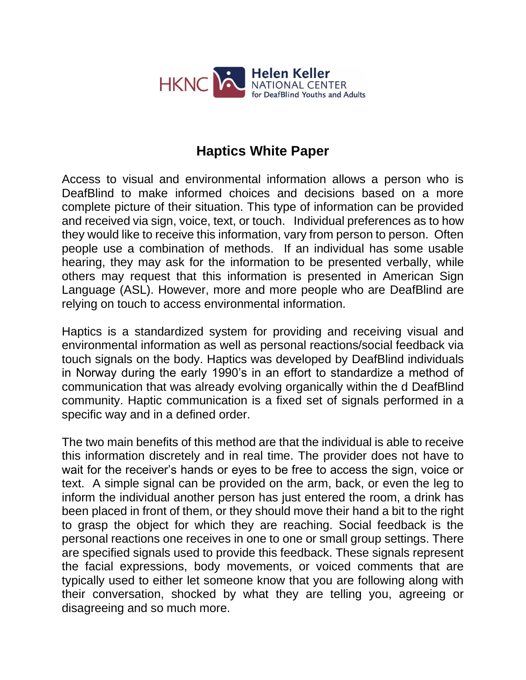

# **Haptics White Paper**

Access to visual and environmental information allows a person who is DeafBlind to make informed choices and decisions based on a more complete picture of their situation. This type of information can be provided and received via sign, voice, text, or touch. Individual preferences as to how they would like to receive this information, vary from person to person. Often people use a combination of methods. If an individual has some usable hearing, they may ask for the information to be presented verbally, while others may request that this information is presented in American Sign Language (ASL). However, more and more people who are DeafBlind are relying on touch to access environmental information.

Haptics is a standardized system for providing and receiving visual and environmental information as well as personal reactions/social feedback via touch signals on the body. Haptics was developed by DeafBlind individuals in Norway during the early 1990's in an effort to standardize a method of communication that was already evolving organically within the d DeafBlind community. Haptic communication is a fixed set of signals performed in a specific way and in a defined order.

The two main benefits of this method are that the individual is able to receive this information discretely and in real time. The provider does not have to wait for the receiver's hands or eyes to be free to access the sign, voice or text. A simple signal can be provided on the arm, back, or even the leg to inform the individual another person has just entered the room, a drink has been placed in front of them, or they should move their hand a bit to the right to grasp the object for which they are reaching. Social feedback is the personal reactions one receives in one to one or small group settings. There are specified signals used to provide this feedback. These signals represent the facial expressions, body movements, or voiced comments that are typically used to either let someone know that you are following along with their conversation, shocked by what they are telling you, agreeing or disagreeing and so much more.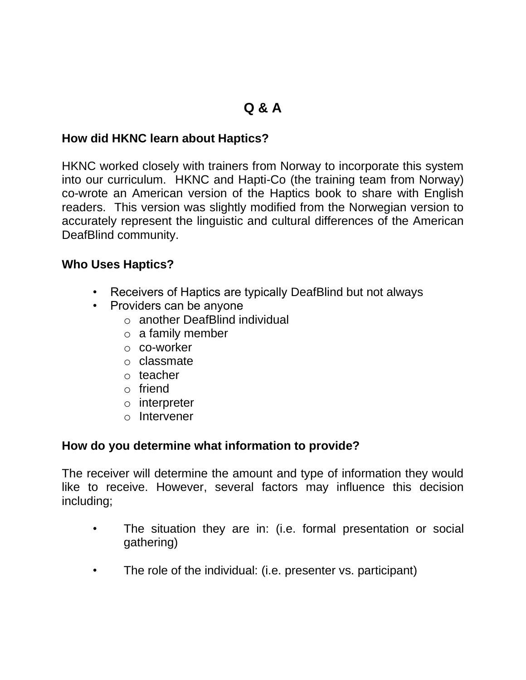# **Q & A**

## **How did HKNC learn about Haptics?**

HKNC worked closely with trainers from Norway to incorporate this system into our curriculum. HKNC and Hapti-Co (the training team from Norway) co-wrote an American version of the Haptics book to share with English readers. This version was slightly modified from the Norwegian version to accurately represent the linguistic and cultural differences of the American DeafBlind community.

#### **Who Uses Haptics?**

- Receivers of Haptics are typically DeafBlind but not always
- Providers can be anyone
	- o another DeafBlind individual
	- $\circ$  a family member
	- o co-worker
	- o classmate
	- o teacher
	- o friend
	- o interpreter
	- o Intervener

#### **How do you determine what information to provide?**

The receiver will determine the amount and type of information they would like to receive. However, several factors may influence this decision including;

- The situation they are in: (i.e. formal presentation or social gathering)
- The role of the individual: (i.e. presenter vs. participant)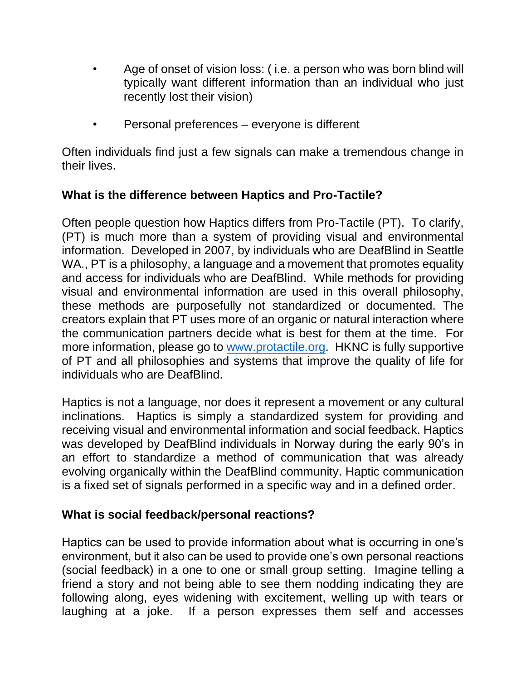- Age of onset of vision loss: ( i.e. a person who was born blind will typically want different information than an individual who just recently lost their vision)
- Personal preferences everyone is different

Often individuals find just a few signals can make a tremendous change in their lives.

## **What is the difference between Haptics and Pro-Tactile?**

Often people question how Haptics differs from Pro-Tactile (PT). To clarify, (PT) is much more than a system of providing visual and environmental information. Developed in 2007, by individuals who are DeafBlind in Seattle WA., PT is a philosophy, a language and a movement that promotes equality and access for individuals who are DeafBlind. While methods for providing visual and environmental information are used in this overall philosophy, these methods are purposefully not standardized or documented. The creators explain that PT uses more of an organic or natural interaction where the communication partners decide what is best for them at the time. For more information, please go to [www.protactile.org.](http://www.protactile.org/) HKNC is fully supportive of PT and all philosophies and systems that improve the quality of life for individuals who are DeafBlind.

Haptics is not a language, nor does it represent a movement or any cultural inclinations. Haptics is simply a standardized system for providing and receiving visual and environmental information and social feedback. Haptics was developed by DeafBlind individuals in Norway during the early 90's in an effort to standardize a method of communication that was already evolving organically within the DeafBlind community. Haptic communication is a fixed set of signals performed in a specific way and in a defined order.

#### **What is social feedback/personal reactions?**

Haptics can be used to provide information about what is occurring in one's environment, but it also can be used to provide one's own personal reactions (social feedback) in a one to one or small group setting. Imagine telling a friend a story and not being able to see them nodding indicating they are following along, eyes widening with excitement, welling up with tears or laughing at a joke. If a person expresses them self and accesses